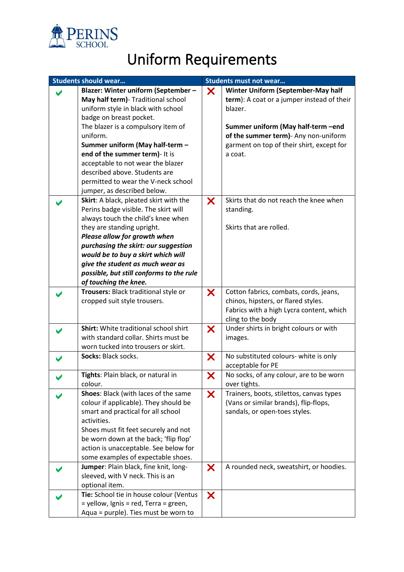

## Uniform Requirements

| <b>Students should wear</b> |                                          | <b>Students must not wear</b> |                                            |
|-----------------------------|------------------------------------------|-------------------------------|--------------------------------------------|
|                             | Blazer: Winter uniform (September -      | X                             | <b>Winter Uniform (September-May half</b>  |
|                             | May half term) - Traditional school      |                               | term): A coat or a jumper instead of their |
|                             | uniform style in black with school       |                               | blazer.                                    |
|                             | badge on breast pocket.                  |                               |                                            |
|                             | The blazer is a compulsory item of       |                               | Summer uniform (May half-term -end         |
|                             | uniform.                                 |                               | of the summer term) - Any non-uniform      |
|                             | Summer uniform (May half-term -          |                               | garment on top of their shirt, except for  |
|                             | end of the summer term)- It is           |                               | a coat.                                    |
|                             | acceptable to not wear the blazer        |                               |                                            |
|                             | described above. Students are            |                               |                                            |
|                             | permitted to wear the V-neck school      |                               |                                            |
|                             | jumper, as described below.              |                               |                                            |
|                             | Skirt: A black, pleated skirt with the   | X                             | Skirts that do not reach the knee when     |
|                             | Perins badge visible. The skirt will     |                               | standing.                                  |
|                             | always touch the child's knee when       |                               |                                            |
|                             | they are standing upright.               |                               | Skirts that are rolled.                    |
|                             | Please allow for growth when             |                               |                                            |
|                             | purchasing the skirt: our suggestion     |                               |                                            |
|                             | would be to buy a skirt which will       |                               |                                            |
|                             | give the student as much wear as         |                               |                                            |
|                             | possible, but still conforms to the rule |                               |                                            |
|                             | of touching the knee.                    |                               |                                            |
|                             | Trousers: Black traditional style or     | X                             | Cotton fabrics, combats, cords, jeans,     |
|                             | cropped suit style trousers.             |                               | chinos, hipsters, or flared styles.        |
|                             |                                          |                               | Fabrics with a high Lycra content, which   |
|                             |                                          |                               | cling to the body                          |
|                             | Shirt: White traditional school shirt    | X                             | Under shirts in bright colours or with     |
|                             | with standard collar. Shirts must be     |                               | images.                                    |
|                             | worn tucked into trousers or skirt.      |                               |                                            |
|                             | Socks: Black socks.                      | X                             | No substituted colours- white is only      |
|                             |                                          |                               | acceptable for PE                          |
|                             | Tights: Plain black, or natural in       | X                             | No socks, of any colour, are to be worn    |
|                             | colour.                                  |                               | over tights.                               |
|                             | Shoes: Black (with laces of the same     | X                             | Trainers, boots, stilettos, canvas types   |
|                             | colour if applicable). They should be    |                               | (Vans or similar brands), flip-flops,      |
|                             | smart and practical for all school       |                               | sandals, or open-toes styles.              |
|                             | activities.                              |                               |                                            |
|                             | Shoes must fit feet securely and not     |                               |                                            |
|                             | be worn down at the back; 'flip flop'    |                               |                                            |
|                             | action is unacceptable. See below for    |                               |                                            |
|                             | some examples of expectable shoes.       |                               |                                            |
|                             | Jumper: Plain black, fine knit, long-    | X                             | A rounded neck, sweatshirt, or hoodies.    |
|                             | sleeved, with V neck. This is an         |                               |                                            |
|                             | optional item.                           |                               |                                            |
|                             | Tie: School tie in house colour (Ventus  | X                             |                                            |
|                             | = yellow, Ignis = red, Terra = green,    |                               |                                            |
|                             | Aqua = purple). Ties must be worn to     |                               |                                            |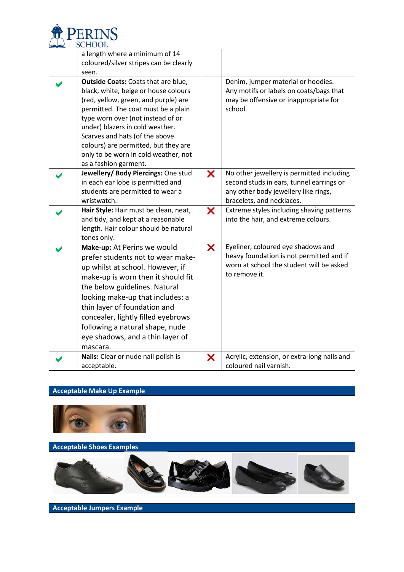

| a length where a minimum of 14<br>coloured/silver stripes can be clearly<br>seen.                                                                                                                                                                                                                                                                                             |   |                                                                                                                                                            |
|-------------------------------------------------------------------------------------------------------------------------------------------------------------------------------------------------------------------------------------------------------------------------------------------------------------------------------------------------------------------------------|---|------------------------------------------------------------------------------------------------------------------------------------------------------------|
| Outside Coats: Coats that are blue,<br>black, white, beige or house colours<br>(red, yellow, green, and purple) are<br>permitted. The coat must be a plain<br>type worn over (not instead of or<br>under) blazers in cold weather.<br>Scarves and hats (of the above<br>colours) are permitted, but they are<br>only to be worn in cold weather, not<br>as a fashion garment. |   | Denim, jumper material or hoodies.<br>Any motifs or labels on coats/bags that<br>may be offensive or inappropriate for<br>school.                          |
| Jewellery/ Body Piercings: One stud<br>in each ear lobe is permitted and<br>students are permitted to wear a<br>wristwatch.                                                                                                                                                                                                                                                   | X | No other jewellery is permitted including<br>second studs in ears, tunnel earrings or<br>any other body jewellery like rings,<br>bracelets, and necklaces. |
| Hair Style: Hair must be clean, neat,<br>and tidy, and kept at a reasonable<br>length. Hair colour should be natural<br>tones only.                                                                                                                                                                                                                                           | X | Extreme styles including shaving patterns<br>into the hair, and extreme colours.                                                                           |
| Make-up: At Perins we would<br>prefer students not to wear make-<br>up whilst at school. However, if<br>make-up is worn then it should fit<br>the below guidelines. Natural<br>looking make-up that includes: a<br>thin layer of foundation and<br>concealer, lightly filled eyebrows<br>following a natural shape, nude<br>eye shadows, and a thin layer of<br>mascara.      | X | Eyeliner, coloured eye shadows and<br>heavy foundation is not permitted and if<br>worn at school the student will be asked<br>to remove it.                |
| Nails: Clear or nude nail polish is<br>acceptable.                                                                                                                                                                                                                                                                                                                            | X | Acrylic, extension, or extra-long nails and<br>coloured nail varnish.                                                                                      |